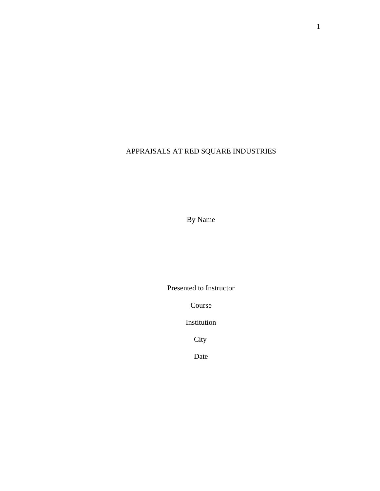# APPRAISALS AT RED SQUARE INDUSTRIES

By Name

Presented to Instructor

Course

Institution

City

Date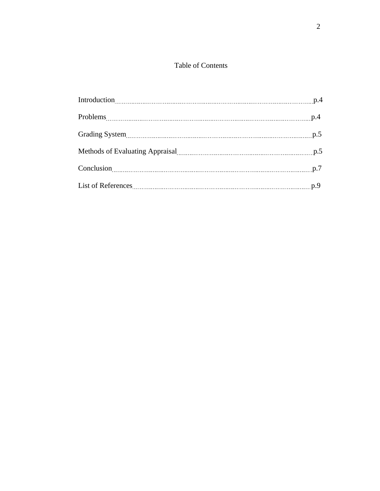## Table of Contents

| Grading System 19.5 million contract to the System 19.5 million contract to the system 19.5 |  |
|---------------------------------------------------------------------------------------------|--|
| Methods of Evaluating Appraisal manufacture and p.5                                         |  |
|                                                                                             |  |
|                                                                                             |  |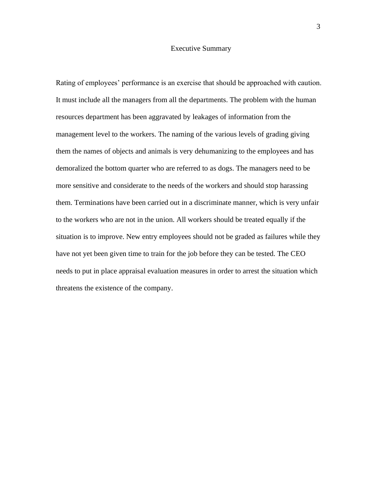#### Executive Summary

Rating of employees' performance is an exercise that should be approached with caution. It must include all the managers from all the departments. The problem with the human resources department has been aggravated by leakages of information from the management level to the workers. The naming of the various levels of grading giving them the names of objects and animals is very dehumanizing to the employees and has demoralized the bottom quarter who are referred to as dogs. The managers need to be more sensitive and considerate to the needs of the workers and should stop harassing them. Terminations have been carried out in a discriminate manner, which is very unfair to the workers who are not in the union. All workers should be treated equally if the situation is to improve. New entry employees should not be graded as failures while they have not yet been given time to train for the job before they can be tested. The CEO needs to put in place appraisal evaluation measures in order to arrest the situation which threatens the existence of the company.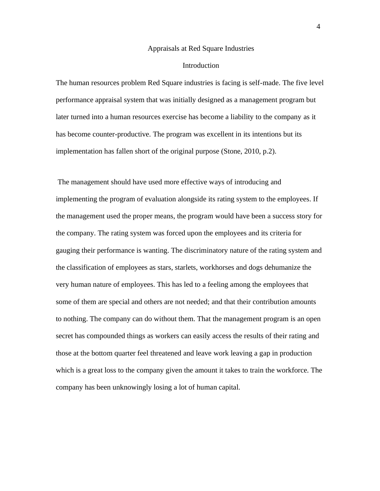#### Appraisals at Red Square Industries

#### Introduction

The human resources problem Red Square industries is facing is self-made. The five level performance appraisal system that was initially designed as a management program but later turned into a human resources exercise has become a liability to the company as it has become counter-productive. The program was excellent in its intentions but its implementation has fallen short of the original purpose (Stone, 2010, p.2).

The management should have used more effective ways of introducing and implementing the program of evaluation alongside its rating system to the employees. If the management used the proper means, the program would have been a success story for the company. The rating system was forced upon the employees and its criteria for gauging their performance is wanting. The discriminatory nature of the rating system and the classification of employees as stars, starlets, workhorses and dogs dehumanize the very human nature of employees. This has led to a feeling among the employees that some of them are special and others are not needed; and that their contribution amounts to nothing. The company can do without them. That the management program is an open secret has compounded things as workers can easily access the results of their rating and those at the bottom quarter feel threatened and leave work leaving a gap in production which is a great loss to the company given the amount it takes to train the workforce. The company has been unknowingly losing a lot of human capital.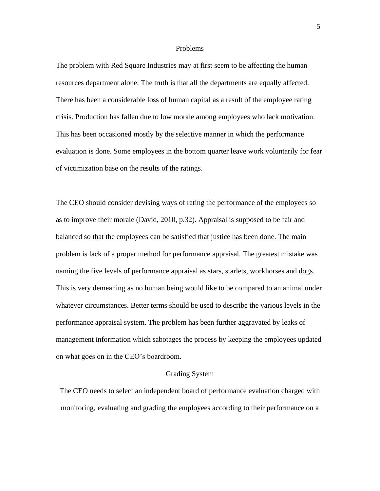#### Problems

The problem with Red Square Industries may at first seem to be affecting the human resources department alone. The truth is that all the departments are equally affected. There has been a considerable loss of human capital as a result of the employee rating crisis. Production has fallen due to low morale among employees who lack motivation. This has been occasioned mostly by the selective manner in which the performance evaluation is done. Some employees in the bottom quarter leave work voluntarily for fear of victimization base on the results of the ratings.

The CEO should consider devising ways of rating the performance of the employees so as to improve their morale (David, 2010, p.32). Appraisal is supposed to be fair and balanced so that the employees can be satisfied that justice has been done. The main problem is lack of a proper method for performance appraisal. The greatest mistake was naming the five levels of performance appraisal as stars, starlets, workhorses and dogs. This is very demeaning as no human being would like to be compared to an animal under whatever circumstances. Better terms should be used to describe the various levels in the performance appraisal system. The problem has been further aggravated by leaks of management information which sabotages the process by keeping the employees updated on what goes on in the CEO's boardroom.

#### Grading System

The CEO needs to select an independent board of performance evaluation charged with monitoring, evaluating and grading the employees according to their performance on a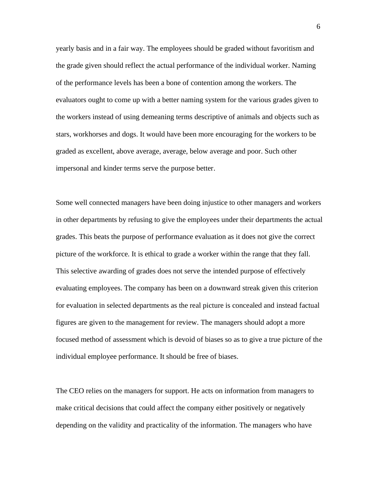yearly basis and in a fair way. The employees should be graded without favoritism and the grade given should reflect the actual performance of the individual worker. Naming of the performance levels has been a bone of contention among the workers. The evaluators ought to come up with a better naming system for the various grades given to the workers instead of using demeaning terms descriptive of animals and objects such as stars, workhorses and dogs. It would have been more encouraging for the workers to be graded as excellent, above average, average, below average and poor. Such other impersonal and kinder terms serve the purpose better.

Some well connected managers have been doing injustice to other managers and workers in other departments by refusing to give the employees under their departments the actual grades. This beats the purpose of performance evaluation as it does not give the correct picture of the workforce. It is ethical to grade a worker within the range that they fall. This selective awarding of grades does not serve the intended purpose of effectively evaluating employees. The company has been on a downward streak given this criterion for evaluation in selected departments as the real picture is concealed and instead factual figures are given to the management for review. The managers should adopt a more focused method of assessment which is devoid of biases so as to give a true picture of the individual employee performance. It should be free of biases.

The CEO relies on the managers for support. He acts on information from managers to make critical decisions that could affect the company either positively or negatively depending on the validity and practicality of the information. The managers who have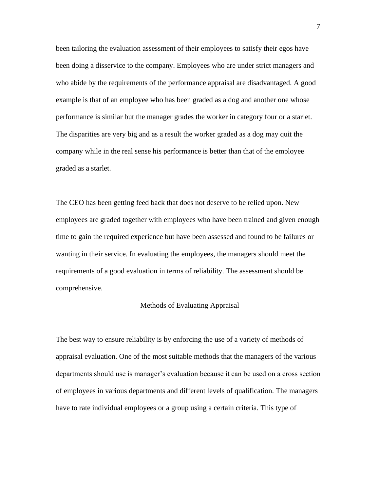been tailoring the evaluation assessment of their employees to satisfy their egos have been doing a disservice to the company. Employees who are under strict managers and who abide by the requirements of the performance appraisal are disadvantaged. A good example is that of an employee who has been graded as a dog and another one whose performance is similar but the manager grades the worker in category four or a starlet. The disparities are very big and as a result the worker graded as a dog may quit the company while in the real sense his performance is better than that of the employee graded as a starlet.

The CEO has been getting feed back that does not deserve to be relied upon. New employees are graded together with employees who have been trained and given enough time to gain the required experience but have been assessed and found to be failures or wanting in their service. In evaluating the employees, the managers should meet the requirements of a good evaluation in terms of reliability. The assessment should be comprehensive.

#### Methods of Evaluating Appraisal

The best way to ensure reliability is by enforcing the use of a variety of methods of appraisal evaluation. One of the most suitable methods that the managers of the various departments should use is manager's evaluation because it can be used on a cross section of employees in various departments and different levels of qualification. The managers have to rate individual employees or a group using a certain criteria. This type of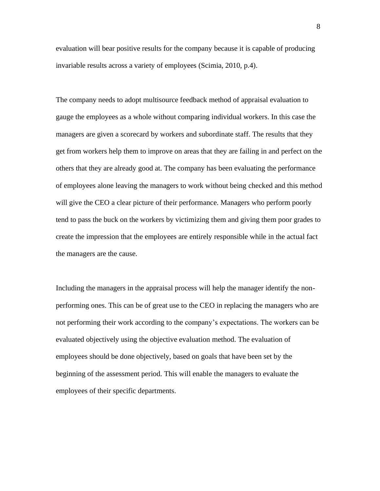evaluation will bear positive results for the company because it is capable of producing invariable results across a variety of employees (Scimia, 2010, p.4).

The company needs to adopt multisource feedback method of appraisal evaluation to gauge the employees as a whole without comparing individual workers. In this case the managers are given a scorecard by workers and subordinate staff. The results that they get from workers help them to improve on areas that they are failing in and perfect on the others that they are already good at. The company has been evaluating the performance of employees alone leaving the managers to work without being checked and this method will give the CEO a clear picture of their performance. Managers who perform poorly tend to pass the buck on the workers by victimizing them and giving them poor grades to create the impression that the employees are entirely responsible while in the actual fact the managers are the cause.

Including the managers in the appraisal process will help the manager identify the nonperforming ones. This can be of great use to the CEO in replacing the managers who are not performing their work according to the company's expectations. The workers can be evaluated objectively using the objective evaluation method. The evaluation of employees should be done objectively, based on goals that have been set by the beginning of the assessment period. This will enable the managers to evaluate the employees of their specific departments.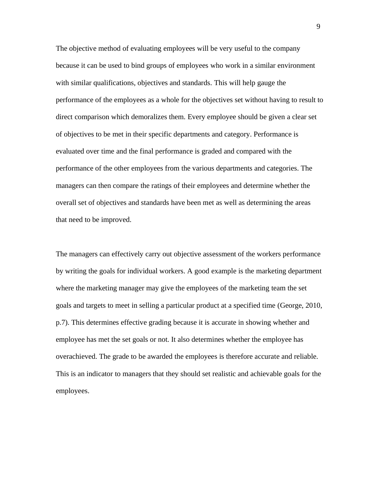The objective method of evaluating employees will be very useful to the company because it can be used to bind groups of employees who work in a similar environment with similar qualifications, objectives and standards. This will help gauge the performance of the employees as a whole for the objectives set without having to result to direct comparison which demoralizes them. Every employee should be given a clear set of objectives to be met in their specific departments and category. Performance is evaluated over time and the final performance is graded and compared with the performance of the other employees from the various departments and categories. The managers can then compare the ratings of their employees and determine whether the overall set of objectives and standards have been met as well as determining the areas that need to be improved.

The managers can effectively carry out objective assessment of the workers performance by writing the goals for individual workers. A good example is the marketing department where the marketing manager may give the employees of the marketing team the set goals and targets to meet in selling a particular product at a specified time (George, 2010, p.7). This determines effective grading because it is accurate in showing whether and employee has met the set goals or not. It also determines whether the employee has overachieved. The grade to be awarded the employees is therefore accurate and reliable. This is an indicator to managers that they should set realistic and achievable goals for the employees.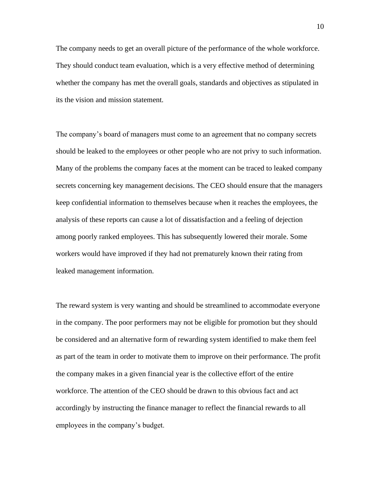The company needs to get an overall picture of the performance of the whole workforce. They should conduct team evaluation, which is a very effective method of determining whether the company has met the overall goals, standards and objectives as stipulated in its the vision and mission statement.

The company's board of managers must come to an agreement that no company secrets should be leaked to the employees or other people who are not privy to such information. Many of the problems the company faces at the moment can be traced to leaked company secrets concerning key management decisions. The CEO should ensure that the managers keep confidential information to themselves because when it reaches the employees, the analysis of these reports can cause a lot of dissatisfaction and a feeling of dejection among poorly ranked employees. This has subsequently lowered their morale. Some workers would have improved if they had not prematurely known their rating from leaked management information.

The reward system is very wanting and should be streamlined to accommodate everyone in the company. The poor performers may not be eligible for promotion but they should be considered and an alternative form of rewarding system identified to make them feel as part of the team in order to motivate them to improve on their performance. The profit the company makes in a given financial year is the collective effort of the entire workforce. The attention of the CEO should be drawn to this obvious fact and act accordingly by instructing the finance manager to reflect the financial rewards to all employees in the company's budget.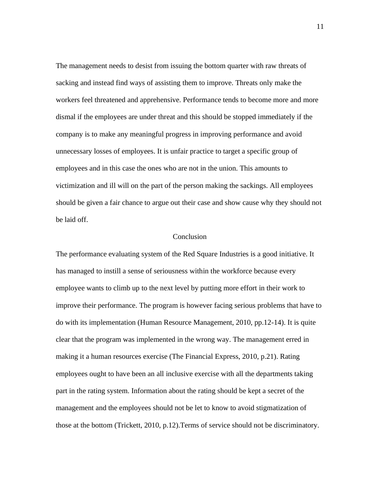The management needs to desist from issuing the bottom quarter with raw threats of sacking and instead find ways of assisting them to improve. Threats only make the workers feel threatened and apprehensive. Performance tends to become more and more dismal if the employees are under threat and this should be stopped immediately if the company is to make any meaningful progress in improving performance and avoid unnecessary losses of employees. It is unfair practice to target a specific group of employees and in this case the ones who are not in the union. This amounts to victimization and ill will on the part of the person making the sackings. All employees should be given a fair chance to argue out their case and show cause why they should not be laid off.

### Conclusion

The performance evaluating system of the Red Square Industries is a good initiative. It has managed to instill a sense of seriousness within the workforce because every employee wants to climb up to the next level by putting more effort in their work to improve their performance. The program is however facing serious problems that have to do with its implementation (Human Resource Management, 2010, pp.12-14). It is quite clear that the program was implemented in the wrong way. The management erred in making it a human resources exercise (The Financial Express, 2010, p.21). Rating employees ought to have been an all inclusive exercise with all the departments taking part in the rating system. Information about the rating should be kept a secret of the management and the employees should not be let to know to avoid stigmatization of those at the bottom (Trickett, 2010, p.12).Terms of service should not be discriminatory.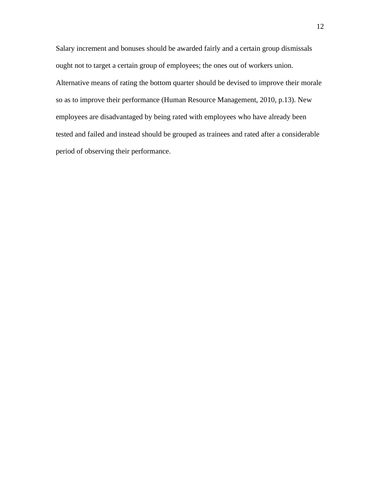Salary increment and bonuses should be awarded fairly and a certain group dismissals ought not to target a certain group of employees; the ones out of workers union. Alternative means of rating the bottom quarter should be devised to improve their morale so as to improve their performance (Human Resource Management, 2010, p.13). New employees are disadvantaged by being rated with employees who have already been tested and failed and instead should be grouped as trainees and rated after a considerable period of observing their performance.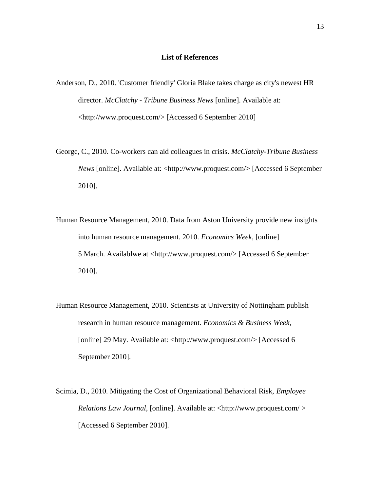#### **List of References**

- Anderson, D., 2010. 'Customer friendly' Gloria Blake takes charge as city's newest HR director. *McClatchy - Tribune Business News* [online]. Available at: [<http://www.proquest.com/>](http://www.proquest.com/) [Accessed 6 September 2010]
- George, C., 2010. Co-workers can aid colleagues in crisis. *McClatchy-Tribune Business News* [online]. Available at: [<http://www.proquest.com/>](http://www.proquest.com/) [Accessed 6 September 2010].
- Human Resource Management, 2010. Data from Aston University provide new insights into human resource management. 2010. *Economics Week*, [online] 5 March. Availablwe at [<http://www.proquest.com/>](http://www.proquest.com/) [Accessed 6 September 2010].
- Human Resource Management, 2010. Scientists at University of Nottingham publish research in human resource management. *Economics & Business Week*, [online] 29 May. Available at: [<http://www.proquest.com/>](http://www.proquest.com/) [Accessed 6 September 2010].
- Scimia, D., 2010. Mitigating the Cost of Organizational Behavioral Risk, *Employee Relations Law Journal*, [online]. Available at: [<http://www.proquest.com/ >](http://www.proquest.com/) [Accessed 6 September 2010].